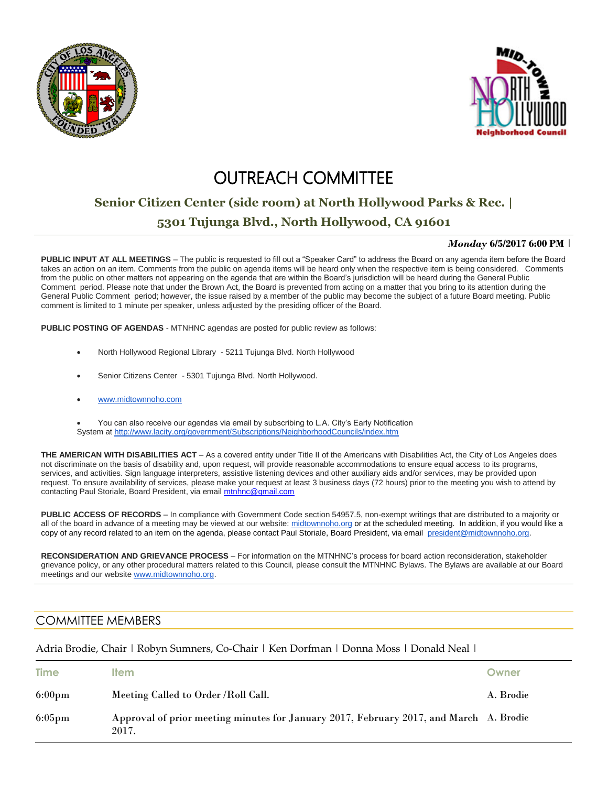



## **OUTREACH COMMITTEE**

# **Senior Citizen Center (side room) at North Hollywood Parks & Rec. |**

### **5301 Tujunga Blvd., North Hollywood, CA 91601**

#### *Monday* **6/5/2017 6:00 PM** |

**PUBLIC INPUT AT ALL MEETINGS** – The public is requested to fill out a "Speaker Card" to address the Board on any agenda item before the Board takes an action on an item. Comments from the public on agenda items will be heard only when the respective item is being considered. Comments from the public on other matters not appearing on the agenda that are within the Board's jurisdiction will be heard during the General Public Comment period. Please note that under the Brown Act, the Board is prevented from acting on a matter that you bring to its attention during the General Public Comment period; however, the issue raised by a member of the public may become the subject of a future Board meeting. Public comment is limited to 1 minute per speaker, unless adjusted by the presiding officer of the Board.

**PUBLIC POSTING OF AGENDAS** - MTNHNC agendas are posted for public review as follows:

- North Hollywood Regional Library 5211 Tujunga Blvd. North Hollywood
- Senior Citizens Center 5301 Tujunga Blvd. North Hollywood.
- www.midtownnoho.com

 You can also receive our agendas via email by subscribing to L.A. City's Early Notification System at <http://www.lacity.org/government/Subscriptions/NeighborhoodCouncils/index.htm>

**THE AMERICAN WITH DISABILITIES ACT** – As a covered entity under Title II of the Americans with Disabilities Act, the City of Los Angeles does not discriminate on the basis of disability and, upon request, will provide reasonable accommodations to ensure equal access to its programs, services, and activities. Sign language interpreters, assistive listening devices and other auxiliary aids and/or services, may be provided upon request. To ensure availability of services, please make your request at least 3 business days (72 hours) prior to the meeting you wish to attend by contacting Paul Storiale, Board President, via emai[l mtnhnc@gmail.com](mailto:mtnhnc@gmail.com)

**PUBLIC ACCESS OF RECORDS** – In compliance with Government Code section 54957.5, non-exempt writings that are distributed to a majority or all of the board in advance of a meeting may be viewed at our website: [midtownnoho.org](http://midtownnoho.org/) or at the scheduled meeting. In addition, if you would like a copy of any record related to an item on the agenda, please contact Paul Storiale, Board President, via email [president@midtownnoho.org.](mailto:president@midtownnoho.org)

**RECONSIDERATION AND GRIEVANCE PROCESS** – For information on the MTNHNC's process for board action reconsideration, stakeholder grievance policy, or any other procedural matters related to this Council, please consult the MTNHNC Bylaws. The Bylaws are available at our Board meetings and our website [www.midtownnoho.org.](http://www.midtownnoho.org/)

### COMMITTEE MEMBERS

Adria Brodie, Chair | Robyn Sumners, Co-Chair | Ken Dorfman | Donna Moss | Donald Neal |

| <b>Time</b>      | <b>Item</b>                                                                                     | Owner     |
|------------------|-------------------------------------------------------------------------------------------------|-----------|
| $6:00 \text{pm}$ | Meeting Called to Order / Roll Call.                                                            | A. Brodie |
| $6:05 \text{pm}$ | Approval of prior meeting minutes for January 2017, February 2017, and March A. Brodie<br>2017. |           |